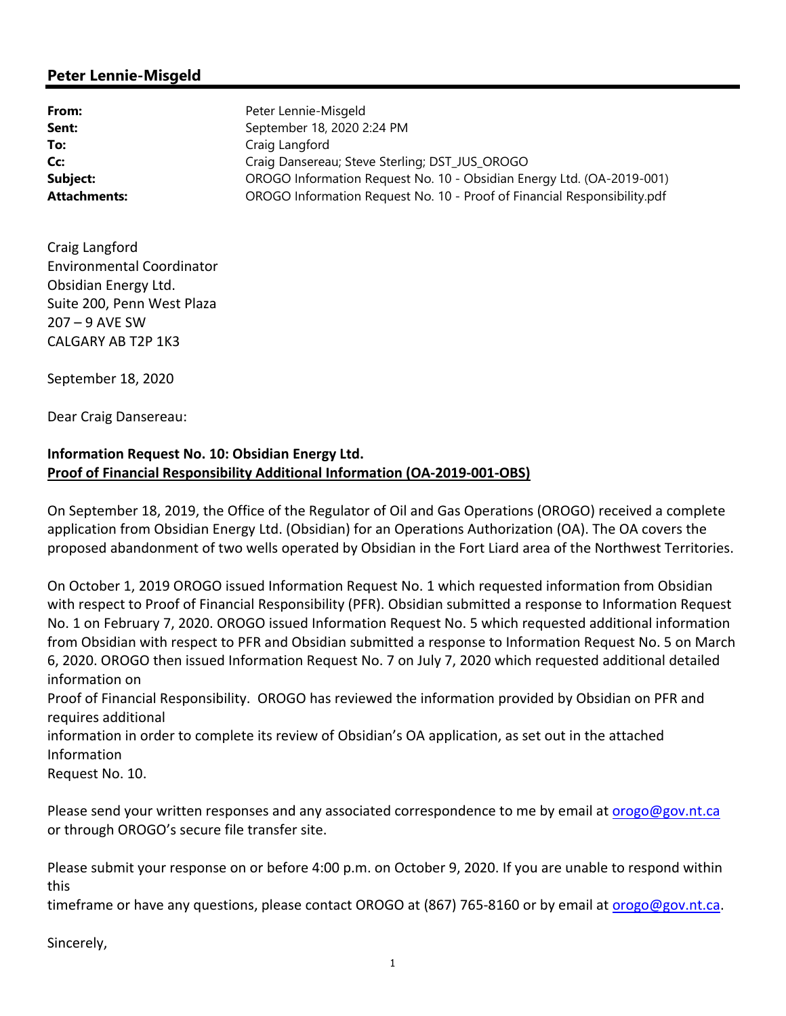## **Peter Lennie-Misgeld**

| From:               | Peter Lennie-Misgeld                                                     |
|---------------------|--------------------------------------------------------------------------|
| Sent:               | September 18, 2020 2:24 PM                                               |
| To:                 | Craig Langford                                                           |
| Cc:                 | Craig Dansereau; Steve Sterling; DST JUS OROGO                           |
| Subject:            | OROGO Information Request No. 10 - Obsidian Energy Ltd. (OA-2019-001)    |
| <b>Attachments:</b> | OROGO Information Request No. 10 - Proof of Financial Responsibility.pdf |

Craig Langford Environmental Coordinator Obsidian Energy Ltd. Suite 200, Penn West Plaza 207 – 9 AVE SW CALGARY AB T2P 1K3

September 18, 2020

Dear Craig Dansereau:

## **Information Request No. 10: Obsidian Energy Ltd. Proof of Financial Responsibility Additional Information (OA‐2019‐001‐OBS)**

On September 18, 2019, the Office of the Regulator of Oil and Gas Operations (OROGO) received a complete application from Obsidian Energy Ltd. (Obsidian) for an Operations Authorization (OA). The OA covers the proposed abandonment of two wells operated by Obsidian in the Fort Liard area of the Northwest Territories.

On October 1, 2019 OROGO issued Information Request No. 1 which requested information from Obsidian with respect to Proof of Financial Responsibility (PFR). Obsidian submitted a response to Information Request No. 1 on February 7, 2020. OROGO issued Information Request No. 5 which requested additional information from Obsidian with respect to PFR and Obsidian submitted a response to Information Request No. 5 on March 6, 2020. OROGO then issued Information Request No. 7 on July 7, 2020 which requested additional detailed information on

Proof of Financial Responsibility. OROGO has reviewed the information provided by Obsidian on PFR and requires additional

information in order to complete its review of Obsidian's OA application, as set out in the attached Information

Request No. 10.

Please send your written responses and any associated correspondence to me by email at orogo@gov.nt.ca or through OROGO's secure file transfer site.

Please submit your response on or before 4:00 p.m. on October 9, 2020. If you are unable to respond within this

timeframe or have any questions, please contact OROGO at (867) 765-8160 or by email at *orogo@gov.nt.ca.* 

Sincerely,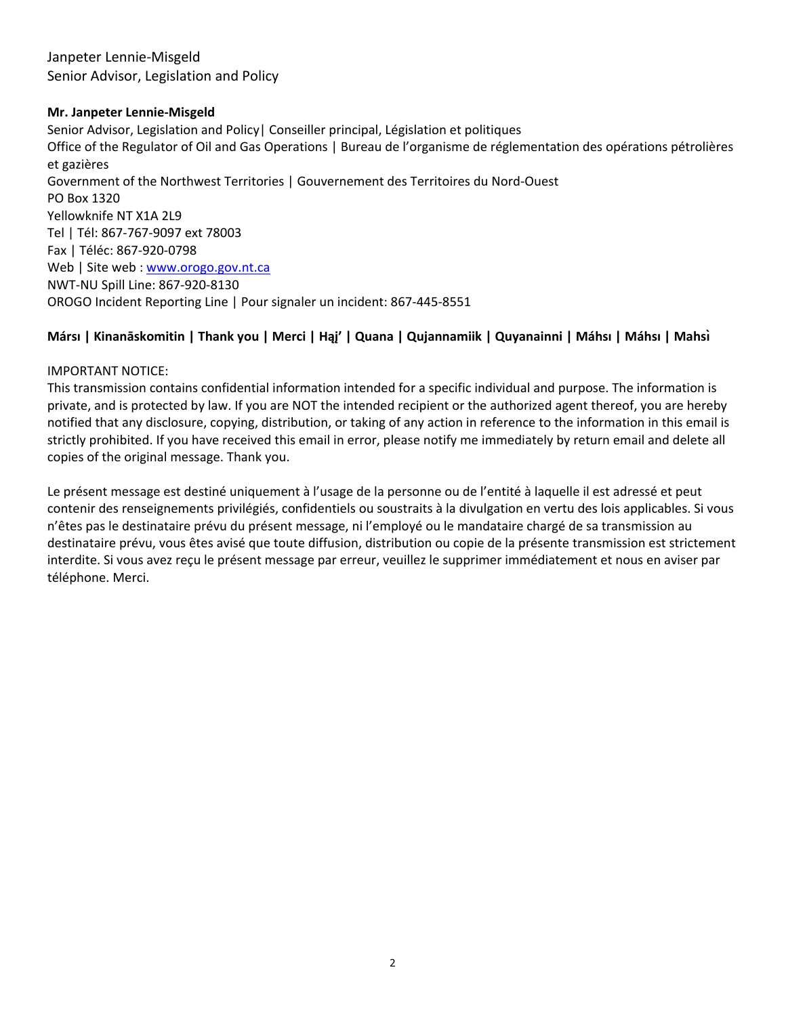Janpeter Lennie‐Misgeld Senior Advisor, Legislation and Policy

#### **Mr. Janpeter Lennie‐Misgeld**

Senior Advisor, Legislation and Policy| Conseiller principal, Législation et politiques Office of the Regulator of Oil and Gas Operations | Bureau de l'organisme de réglementation des opérations pétrolières et gazières Government of the Northwest Territories | Gouvernement des Territoires du Nord‐Ouest PO Box 1320 Yellowknife NT X1A 2L9 Tel | Tél: 867‐767‐9097 ext 78003 Fax | Téléc: 867‐920‐0798 Web | Site web : www.orogo.gov.nt.ca NWT‐NU Spill Line: 867‐920‐8130 OROGO Incident Reporting Line | Pour signaler un incident: 867‐445‐8551

### **Mársı | Kinanāskomitin | Thank you | Merci | Hąį' | Quana | Qujannamiik | Quyanainni | Máhsı | Máhsı | Mahsı̀**

#### IMPORTANT NOTICE:

This transmission contains confidential information intended for a specific individual and purpose. The information is private, and is protected by law. If you are NOT the intended recipient or the authorized agent thereof, you are hereby notified that any disclosure, copying, distribution, or taking of any action in reference to the information in this email is strictly prohibited. If you have received this email in error, please notify me immediately by return email and delete all copies of the original message. Thank you.

Le présent message est destiné uniquement à l'usage de la personne ou de l'entité à laquelle il est adressé et peut contenir des renseignements privilégiés, confidentiels ou soustraits à la divulgation en vertu des lois applicables. Si vous n'êtes pas le destinataire prévu du présent message, ni l'employé ou le mandataire chargé de sa transmission au destinataire prévu, vous êtes avisé que toute diffusion, distribution ou copie de la présente transmission est strictement interdite. Si vous avez reçu le présent message par erreur, veuillez le supprimer immédiatement et nous en aviser par téléphone. Merci.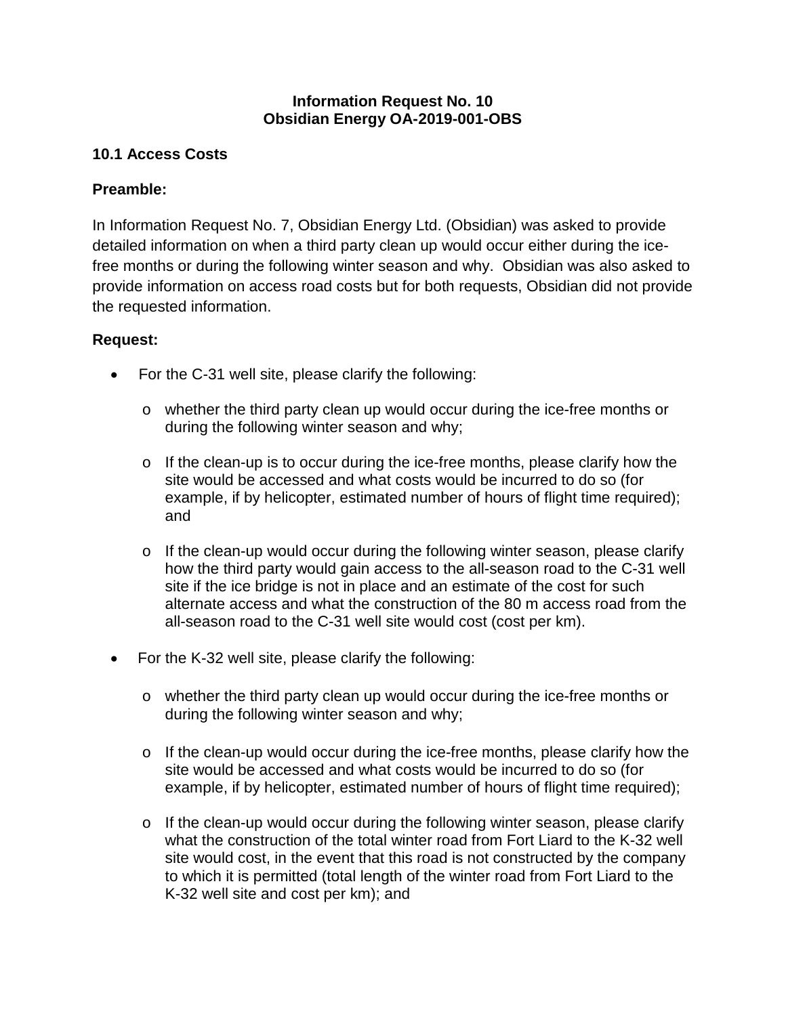## **Information Request No. 10 Obsidian Energy OA-2019-001-OBS**

# **10.1 Access Costs**

## **Preamble:**

In Information Request No. 7, Obsidian Energy Ltd. (Obsidian) was asked to provide detailed information on when a third party clean up would occur either during the icefree months or during the following winter season and why. Obsidian was also asked to provide information on access road costs but for both requests, Obsidian did not provide the requested information.

## **Request:**

- For the C-31 well site, please clarify the following:
	- o whether the third party clean up would occur during the ice-free months or during the following winter season and why;
	- o If the clean-up is to occur during the ice-free months, please clarify how the site would be accessed and what costs would be incurred to do so (for example, if by helicopter, estimated number of hours of flight time required); and
	- o If the clean-up would occur during the following winter season, please clarify how the third party would gain access to the all-season road to the C-31 well site if the ice bridge is not in place and an estimate of the cost for such alternate access and what the construction of the 80 m access road from the all-season road to the C-31 well site would cost (cost per km).
- For the K-32 well site, please clarify the following:
	- o whether the third party clean up would occur during the ice-free months or during the following winter season and why;
	- o If the clean-up would occur during the ice-free months, please clarify how the site would be accessed and what costs would be incurred to do so (for example, if by helicopter, estimated number of hours of flight time required);
	- o If the clean-up would occur during the following winter season, please clarify what the construction of the total winter road from Fort Liard to the K-32 well site would cost, in the event that this road is not constructed by the company to which it is permitted (total length of the winter road from Fort Liard to the K-32 well site and cost per km); and